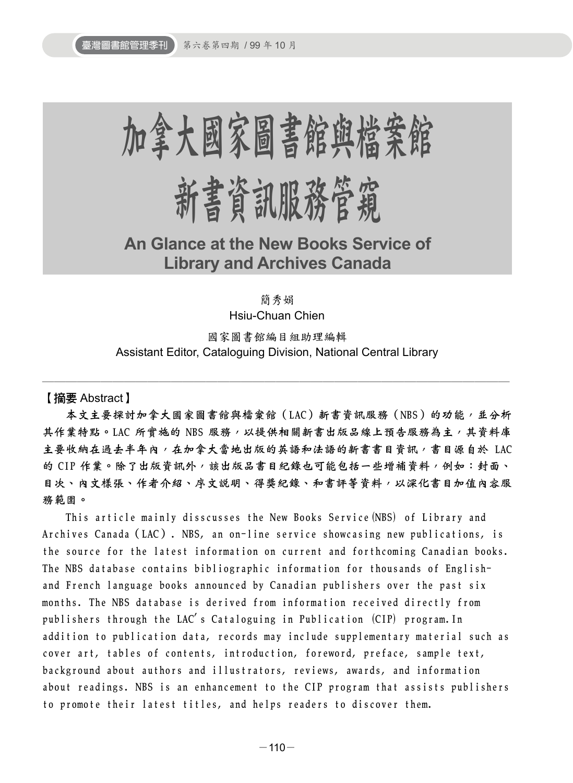

**An Glance at the New Books Service of Library and Archives Canada**

簡秀娟

Hsiu-Chuan Chien

國家圖書館編目組助理編輯 Assistant Editor, Cataloguing Division, National Central Library

────────────────────────────────────────

【摘要 Abstract】

本文主要探討加拿大國家圖書館與檔案館(LAC)新書資訊服務(NBS)的功能,並分析 其作業特點。LAC 所曾施的 NBS 服務,以提供相關新書出版品線上預告服務為主,其資料庫 主要收納在過去半年內,在加拿大當地出版的英語和法語的新書書目資訊,書目源自於 LAC 的 CIP 作業。除了出版資訊外, 該出版品書目紀錄也可能包括一些增補資料,例如:封面、 目次、內文樣張、作者介紹、序文說明、得獎紀錄、和書評等資料,以深化書目加值內容服 務範圍。

This article mainly disscusses the New Books Service(NBS) of Library and Archives Canada(LAC). NBS, an on-line service showcasing new publications, is the source for the latest information on current and forthcoming Canadian books. The NBS database contains bibliographic information for thousands of Englishand French language books announced by Canadian publishers over the past six months. The NBS database is derived from information received directly from publishers through the LAC's Cataloguing in Publication (CIP) program.In addition to publication data, records may include supplementary material such as cover art, tables of contents, introduction, foreword, preface, sample text, background about authors and illustrators, reviews, awards, and information about readings. NBS is an enhancement to the CIP program that assists publishers to promote their latest titles, and helps readers to discover them.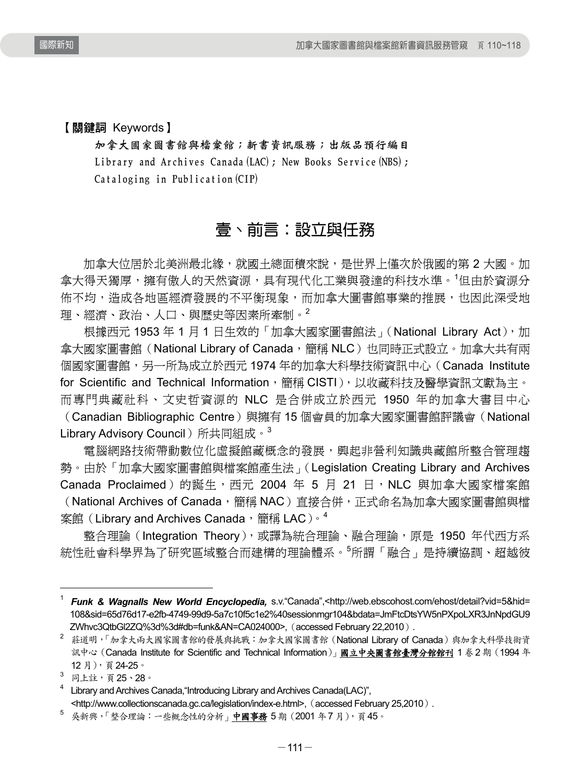【關鍵詞 Keywords】

加拿大國家圖書館與檔案館;新書資訊服務;出版品預行編目 Library and Archives Canada (LAC); New Books Service (NBS); Cataloging in Publication(CIP)

# 壹、前言:設立與任務

加拿大位居於北美洲最北緣,就國土總面積來說,是世界上僅次於俄國的第 2 大國。加 拿大得天獨厚,擁有傲人的天然資源,具有現代化工業與發達的科技水準。<sup>1</sup>但由於資源分 佈不均,造成各地區經濟發展的不平衡現象,而加拿大圖書館事業的推展,也因此深受地 理、經濟、政治、人口、與歷史等因素所牽制。<sup>2</sup>

根據西元 1953年 1月 1日生效的「加拿大國家圖書館法」(National Library Act),加 拿大國家圖書館 (National Library of Canada,簡稱 NLC)也同時正式設立。加拿大共有兩 個國家圖書館,另一所為成立於西元 1974 年的加拿大科學技術資訊中心(Canada Institute for Scientific and Technical Information, 簡稱 CISTI), 以收藏科技及醫學資訊文獻為主。 而專門典藏社科、文史哲資源的 NLC 是合併成立於西元 1950 年的加拿大書目中心 (Canadian Bibliographic Centre)與擁有 15 個會員的加拿大國家圖書館評議會(National Library Advisory Council)所共同組成。<sup>3</sup>

電腦網路技術帶動數位化虛擬館藏概念的發展,興起非營利知識典藏館所整合管理趨 勢。由於「加拿大國家圖書館與檔案館產生法」(Legislation Creating Library and Archives Canada Proclaimed)的誕生, 西元 2004 年 5 月 21 日, NLC 與加拿大國家檔案館 (National Archives of Canada,簡稱 NAC)直接合併,正式命名為加拿大國家圖書館與檔 案館(Library and Archives Canada,簡稱 LAC)。4

整合理論 (Integration Theory),或譯為統合理論、融合理論,原是 1950 年代西方系 統性社會科學界為了研究區域整合而建構的理論體系。<sup>5</sup> 所謂「融合」是持續協調、超越彼

l

<sup>1</sup> *Funk & Wagnalls New World Encyclopedia,* s.v."Canada",<http://web.ebscohost.com/ehost/detail?vid=5&hid= 108&sid=65d76d17-e2fb-4749-99d9-5a7c10f5c1e2%40sessionmgr104&bdata=JmFtcDtsYW5nPXpoLXR3JnNpdGU9 ZWhvc3QtbGl2ZQ%3d%3d#db=funk&AN=CA024000>, (accessed February 22,2010).

<sup>&</sup>lt;sup>2</sup> 莊道明,「加拿大兩大國家圖書館的發展與挑戰:加拿大國家圖書館 (National Library of Canada)與加拿大科學技術資 訊中心(Canada Institute for Scientific and Technical Information)」國立中央圖書館臺灣分館館刊 1 卷2 期(1994 年 12 月),頁24-25。

<sup>&</sup>lt;sup>3</sup> 同上註,頁 **25、28**。

<sup>&</sup>lt;sup>4</sup> Library and Archives Canada, "Introducing Library and Archives Canada(LAC)", <http://www.collectionscanada.gc.ca/legislation/index-e.html>, (accessed February 25,2010).<br>5 吳新興,「整合理論:一些概念性的分析」<mark>中國事務</mark> 5 期(2001 年7 月),頁 45。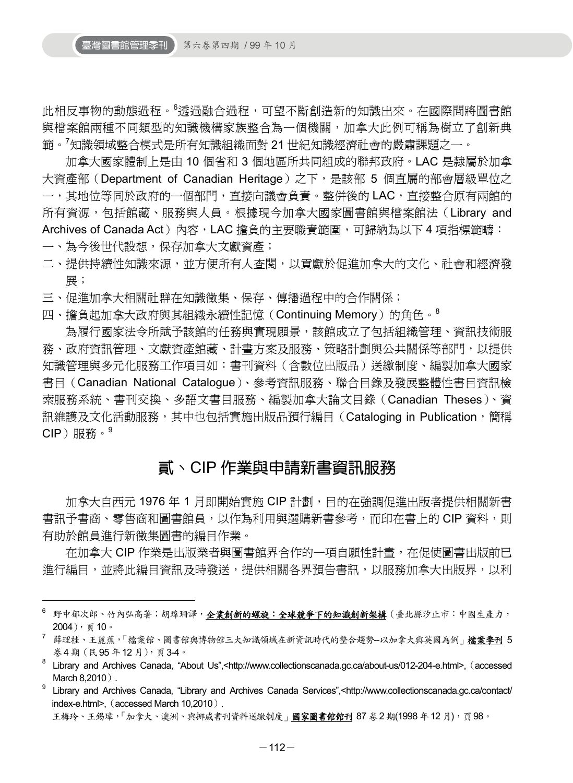此相反事物的動態過程。<sup>6</sup> 透過融合過程,可望不斷創造新的知識出來。在國際間將圖書館 與檔案館兩種不同類型的知識機構家族整合為一個機關,加拿大此例可稱為樹立了創新典 範。<sup>7</sup> 知識領域整合模式是所有知識組織面對 21 世紀知識經濟社會的嚴肅課題之一。

加拿大國家體制上是由 10 個省和 3 個地區所共同組成的聯邦政府。LAC 是隸屬於加拿 大資產部 (Department of Canadian Heritage) 之下, 是該部 5 個直屬的部會層級單位之 一,其地位等同於政府的一個部門,直接向議會負責。整併後的 LAC,直接整合原有兩館的 所有資源,包括館藏、服務與人員。根據現今加拿大國家圖書館與檔案館法(Library and Archives of Canada Act)內容,LAC 擔負的主要職責範圍,可歸納為以下 4 項指標範疇:

一、為今後世代設想,保存加拿大文獻資產;

1

- 二、提供持續性知識來源,並方便所有人查閱,以貢獻於促進加拿大的文化、社會和經濟發 展;
- 三、促進加拿大相關社群在知識徵集、保存、傳播過程中的合作關係;
- 四、擔負起加拿大政府與其組織永續性記憶(Continuing Memory)的角色。<sup>8</sup>

為履行國家法令所賦予該館的任務與實現願景,該館成立了包括組織管理、資訊技術服 務、政府資訊管理、文獻資產館藏、計畫方案及服務、策略計劃與公共關係等部門,以提供 知識管理與多元化服務工作項目如:書刊資料(含數位出版品)送繳制度、編製加拿大國家 書目(Canadian National Catalogue)、參考資訊服務、聯合目錄及發展整體性書目資訊檢 索服務系統、書刊交換、多語文書目服務、編製加拿大論文目錄(Canadian Theses)、資 訊維護及文化活動服務,其中也包括實施出版品預行編目(Cataloging in Publication,簡稱 CIP)服務。<sup>9</sup>

# 貳、CIP 作業與申請新書資訊服務

加拿大自西元 1976 年 1 月即開始實施 CIP 計劃,目的在強調促進出版者提供相關新書 書訊予書商、零售商和圖書館員,以作為利用與選購新書參考,而印在書上的 CIP 資料,則 有助於館員進行新徵集圖書的編目作業。

在加拿大 CIP 作業是出版業者與圖書館界合作的一項自願性計畫,在促使圖書出版前已 進行編目,並將此編目資訊及時發送,提供相關各界預告書訊,以服務加拿大出版界,以利

<sup>&</sup>lt;sup>6</sup> 野中郁次郎、竹內弘高著;胡瑋珊譯,<u>企業創新的螺旋:全球競爭下的知識創新架構</u>(臺北縣汐止市:中國生產力, 2004),頁10。

<sup>&</sup>lt;sup>7</sup> 薛理桂、王麗蕉,「檔案館、圖書館與博物館三大知識領域在新資訊時代的整合趨勢--以加拿大與英國為例」**檔案季刊 5** 卷4 期(民95 年12 月),頁3-4。

<sup>&</sup>lt;sup>8</sup> Library and Archives Canada, "About Us",<http://www.collectionscanada.gc.ca/about-us/012-204-e.html>, (accessed March  $8,2010$ .

<sup>9</sup> Library and Archives Canada, "Library and Archives Canada Services",<http://www.collectionscanada.gc.ca/contact/ index-e.html>, (accessed March 10,2010).

王梅玲、王錫璋,「加拿大、澳洲、與挪威書刊資料送繳制度」國家圖書館館刊 87 卷 2 期(1998 年12 月), 頁 98。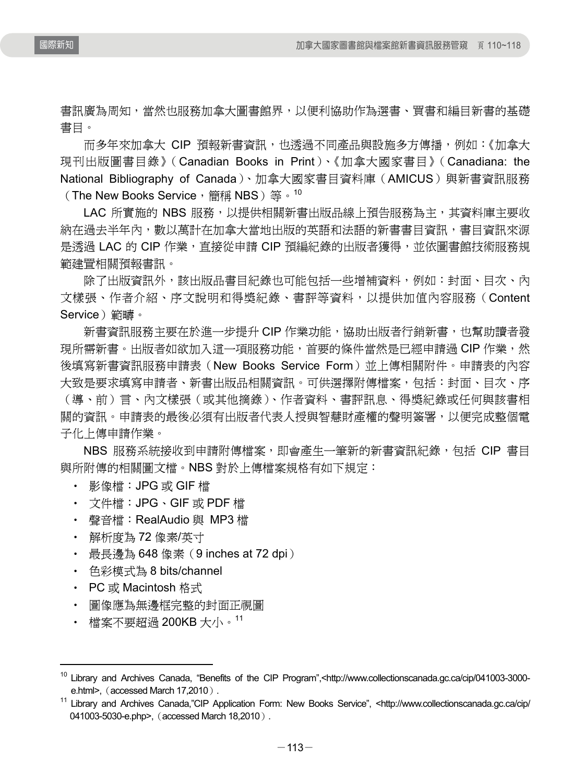書訊廣為周知,當然也服務加拿大圖書館界,以便利協助作為選書、買書和編目新書的基礎 書目。

而多年來加拿大 CIP 預報新書資訊,也透過不同產品與設施多方傳播,例如:《加拿大 現刊出版圖書目錄》(Canadian Books in Print)、《加拿大國家書目》(Canadiana: the National Bibliography of Canada)、加拿大國家書目資料庫(AMICUS)與新書資訊服務 (The New Books Service, 簡稱 NBS)等。<sup>10</sup>

LAC 所實施的 NBS 服務,以提供相關新書出版品線上預告服務為主,其資料庫主要收 納在過去半年內,數以萬計在加拿大當地出版的英語和法語的新書書目資訊,書目資訊來源 是透過 LAC 的 CIP 作業,直接從申請 CIP 預編紀錄的出版者獲得,並依圖書館技術服務規 範建置相關預報書訊。

除了出版資訊外,該出版品書目紀錄也可能包括一些增補資料,例如:封面、目次、內 文樣張、作者介紹、序文說明和得獎紀錄、書評等資料,以提供加值內容服務(Content Service)範疇。

新書資訊服務主要在於進一步提升 CIP 作業功能,協助出版者行銷新書,也幫助讀者發 現所需新書。出版者如欲加入這一項服務功能,首要的條件當然是已經申請過 CIP 作業,然 後填寫新書資訊服務申請表(New Books Service Form)並上傳相關附件。申請表的內容 大致是要求填寫申請者、新書出版品相關資訊。可供選擇附傳檔案,包括:封面、目次、序 (導、前)言、內文樣張(或其他摘錄)、作者資料、書評訊息、得獎紀錄或任何與該書相 關的資訊。申請表的最後必須有出版者代表人授與智慧財產權的聲明簽署,以便完成整個電 子化上傳申請作業。

NBS 服務系統接收到申請附傳檔案,即會產生一筆新的新書資訊紀錄,包括 CIP 書目 與所附傳的相關圖文檔。NBS 對於上傳檔案規格有如下規定:

- ‧ 影像檔:JPG 或 GIF 檔
- ‧ 文件檔:JPG、GIF 或 PDF 檔
- ‧ 聲音檔:RealAudio 與 MP3 檔
- ‧ 解析度為 72 像素/英寸
- 最長邊為 648 像素 (9 inches at 72 dpi)
- ‧ 色彩模式為 8 bits/channel
- ‧ PC 或 Macintosh 格式

l

- ‧ 圖像應為無邊框完整的封面正視圖
- 檔案不要超過 200KB 大小。<sup>11</sup>

<sup>&</sup>lt;sup>10</sup> Library and Archives Canada, "Benefits of the CIP Program",<http://www.collectionscanada.gc.ca/cip/041003-3000e.html>, (accessed March 17,2010).<br><sup>11</sup> Library and Archives Canada,"CIP Application Form: New Books Service", <http://www.collectionscanada.gc.ca/cip/

<sup>041003-5030-</sup>e.php>, (accessed March 18,2010).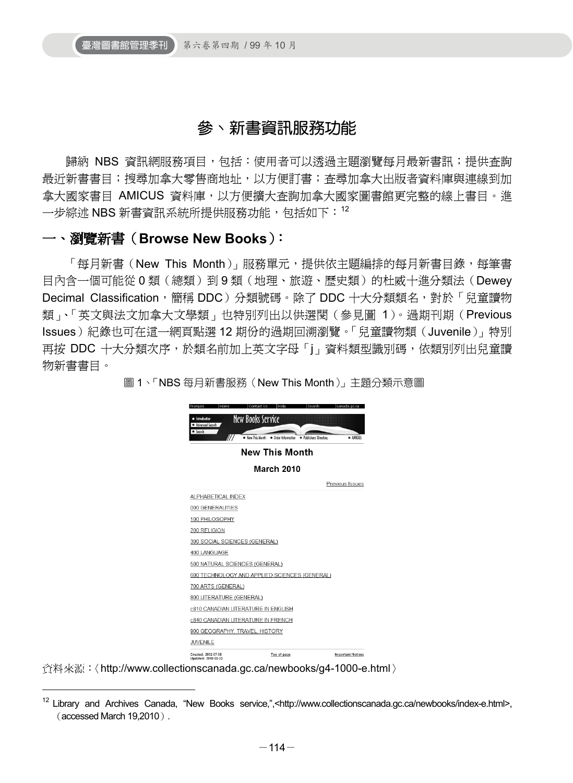# 參、新書資訊服務功能

歸納 NBS 資訊網服務項目,包括:使用者可以透過主題瀏覽每月最新書訊;提供查詢 最近新書書目;搜尋加拿大零售商地址,以方便訂書;查尋加拿大出版者資料庫與連線到加 拿大國家書目 AMICUS 資料庫,以方便擴大查詢加拿大國家圖書館更完整的線上書目。進 一步綜述 NBS 新書資訊系統所提供服務功能,包括如下: 12

#### 一、瀏覽新書(**Browse New Books**):

「每月新書(New This Month)」服務單元,提供依主題編排的每月新書目錄,每筆書 目內含一個可能從 0 類(總類)到 9 類(地理、旅遊、歷史類)的杜威十進分類法(Dewey Decimal Classification, 簡稱 DDC) 分類號碼。除了 DDC 十大分類類名, 對於「兒童讀物 類」、「英文與法文加拿大文學類」也特別列出以供選閱(參見圖 1)。過期刊期(Previous Issues)紀錄也可在這一網頁點選 12 期份的過期回溯瀏覽。「兒童讀物類(Juvenile)」特別 再按 DDC 十大分類次序,於類名前加上英文字母「j」資料類型識別碼,依類別列出兒童讀 物新書書目。

圖 1、「NBS 每月新書服務(New This Month)」主題分類示意圖



資料來源:〈http://www.collectionscanada.gc.ca/newbooks/g4-1000-e.html〉

-

<sup>&</sup>lt;sup>12</sup> Library and Archives Canada, "New Books service,",<http://www.collectionscanada.gc.ca/newbooks/index-e.html>, (accessed March 19,2010).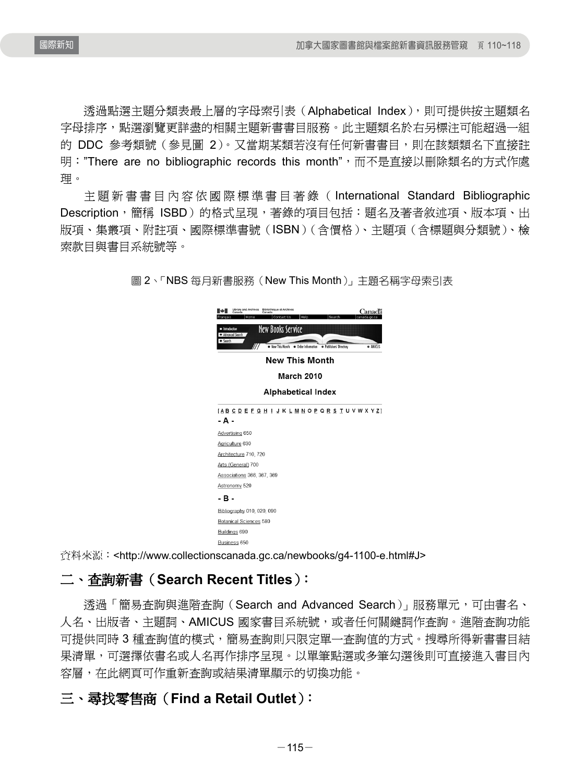透過點選主題分類表最上層的字母索引表(Alphabetical Index),則可提供按主題類名 字母排序,點選瀏覽更詳盡的相關主題新書書目服務。此主題類名於右另標注可能超過一組 的 DDC 參考類號(參見圖 2)。又當期某類若沒有任何新書書目,則在該類類名下直接註 明: "There are no bibliographic records this month", 而不是直接以刪除類名的方式作處 理。

主題新書書目內容依國際標準書目著錄( International Standard Bibliographic Description,簡稱 ISBD)的格式呈現,著錄的項目包括:題名及著者敘述項、版本項、出 版項、集叢項、附註項、國際標準書號(ISBN)(含價格)、主題項(含標題與分類號)、檢 索款目與書目系統號等。

| Library and Archives Bibliothèque et Archives<br>Canada Canada<br>Home<br>Contact Us<br>Help<br>Search<br>ncais<br><b>New Books Service</b><br>· Introduction<br>· Advanced Search<br>· Search |
|------------------------------------------------------------------------------------------------------------------------------------------------------------------------------------------------|
| • New This Month<br>• Order Information<br>· Publishers' Directory<br>· ANICUS                                                                                                                 |
| <b>New This Month</b>                                                                                                                                                                          |
| <b>March 2010</b>                                                                                                                                                                              |
| <b>Alphabetical Index</b>                                                                                                                                                                      |
| [ABCDEFGH   JKLMNOPQRSTUVWXYZ]                                                                                                                                                                 |
| - A -                                                                                                                                                                                          |
| Advertising 650                                                                                                                                                                                |
| Agriculture 630                                                                                                                                                                                |
| Architecture 710, 720                                                                                                                                                                          |
| Arts (General) 700                                                                                                                                                                             |
| Associations 366, 367, 369                                                                                                                                                                     |
| Astronomy 520                                                                                                                                                                                  |
| -в-                                                                                                                                                                                            |
| Bibliography 010, 020, 090                                                                                                                                                                     |
| Botanical Sciences 580                                                                                                                                                                         |
| Buildings 690                                                                                                                                                                                  |
| Business 650                                                                                                                                                                                   |

圖 2、「NBS 每月新書服務(New This Month)」主題名稱字母索引表

資料來源: <http://www.collectionscanada.gc.ca/newbooks/g4-1100-e.html#J>

## 二、查詢新書(**Search Recent Titles**):

透過「簡易查詢與進階查詢(Search and Advanced Search)」服務單元,可由書名、 人名、出版者、主題詞、AMICUS 國家書目系統號,或者任何關鍵詞作查詢。進階查詢功能 可提供同時 3 種查詢值的模式,簡易查詢則只限定單一查詢值的方式。搜尋所得新書書目結 果清單,可選擇依書名或人名再作排序呈現。以單筆點選或多筆勾選後則可直接進入書目內 容層,在此網頁可作重新查詢或結果清單顯示的切換功能。

## 三、尋找零售商(**Find a Retail Outlet**):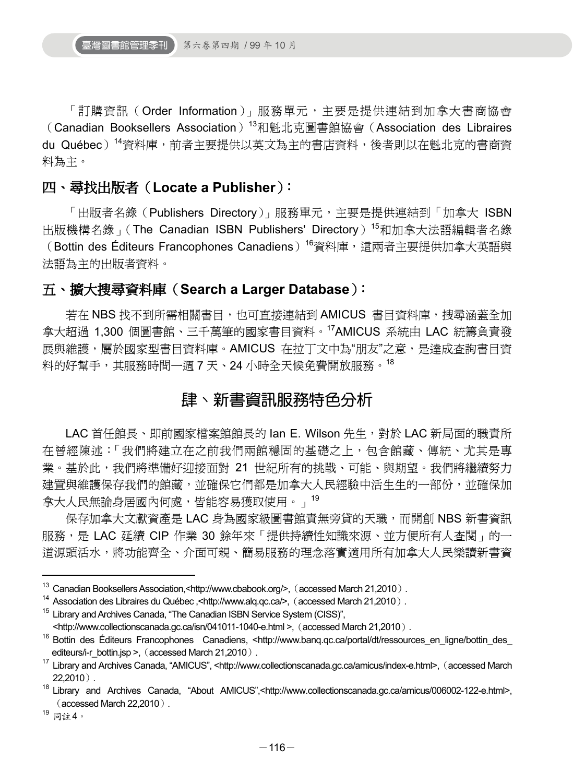「訂購資訊 (Order Information)」服務單元,主要是提供連結到加拿大書商協會 (Canadian Booksellers Association)<sup>13</sup>和魁北克圖書館協會 (Association des Libraires du Québec)<sup>14</sup>資料庫,前者主要提供以英文為主的書店資料,後者則以在魁北克的書商資 料為主。

### 四、尋找出版者(**Locate a Publisher**):

「出版者名錄 (Publishers Directory)」服務單元,主要是提供連結到「加拿大 ISBN 出版機構名錄」(The Canadian ISBN Publishers' Directory)<sup>15</sup>和加拿大法語編輯者名錄 (Bottin des Éditeurs Francophones Canadiens)<sup>16</sup>資料庫,這兩者主要提供加拿大英語與 法語為主的出版者資料。

#### 五、擴大搜尋資料庫(**Search a Larger Database**):

若在 NBS 找不到所需相關書目,也可直接連結到 AMICUS 書目資料庫,搜尋涵蓋全加 拿大超過 1,300 個圖書館、三千萬筆的國家書目資料。17AMICUS 系統由 LAC 統籌負責發 展與維護,屬於國家型書目資料庫。AMICUS 在拉丁文中為"朋友"之意,是達成查詢書目資 料的好幫手,其服務時間一週7天、24 小時全天候免費開放服務。<sup>18</sup>

## 肆、新書資訊服務特色分析

LAC 首任館長、即前國家檔案館館長的 Ian E. Wilson 先生,對於 LAC 新局面的職責所 在曾經陳述:「我們將建立在之前我們兩館穩固的基礎之上,包含館藏、傳統、尤其是專 業。基於此,我們將準備好迎接面對 21 世紀所有的挑戰、可能、與期望。我們將繼續努力 建置與維護保存我們的館藏,並確保它們都是加拿大人民經驗中活生生的一部份,並確保加 拿大人民無論身居國內何處,皆能容易獲取使用。」<sup>19</sup>

保存加拿大文獻資產是 LAC 身為國家級圖書館責無旁貸的天職,而開創 NBS 新書資訊 服務,是 LAC 延續 CIP 作業 30 餘年來「提供持續性知識來源、並方便所有人查閱」的一 道源頭活水,將功能齊全、介面可親、簡易服務的理念落實適用所有加拿大人民樂讀新書資

1

<sup>&</sup>lt;sup>13</sup> Canadian Booksellers Association,<http://www.cbabook.org/>, (accessed March 21,2010).<br><sup>14</sup> Association des Libraires du Québec ,<http://www.alq.qc.ca/>, (accessed March 21,2010).<br><sup>15</sup> Library and Archives Canada, "Th

<sup>&</sup>lt;http://www.collectionscanada.gc.ca/isn/041011-1040-e.html >,(accessed March 21,2010). 16 Bottin des Éditeurs Francophones Canadiens, <http://www.banq.qc.ca/portal/dt/ressources\_en\_ligne/bottin\_des\_ editeurs/i-r\_bottin.jsp >, (accessed March 21,2010).<br><sup>17</sup> Library and Archives Canada, "AMICUS", <http://www.collectionscanada.gc.ca/amicus/index-e.html>, (accessed March

<sup>22,2010</sup>). 18 Library and Archives Canada, "About AMICUS",<http://www.collectionscanada.gc.ca/amicus/006002-122-e.html>,

<sup>(</sup>accessed March 22,2010).<br><sup>19</sup> 同註4。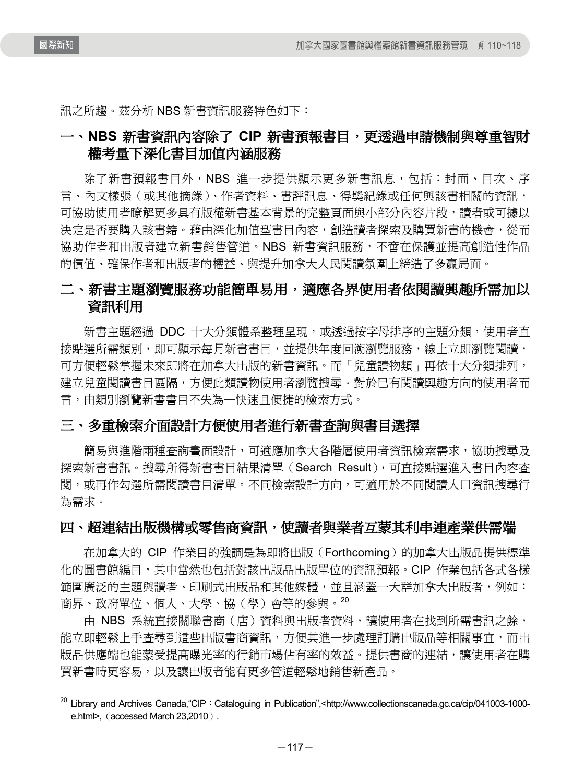國際新知

 $\overline{a}$ 

訊之所趨。茲分析 NBS 新書資訊服務特色如下:

## 一、**NBS** 新書資訊內容除了 **CIP** 新書預報書目,更透過申請機制與尊重智財 權考量下深化書目加值內涵服務

除了新書預報書目外,NBS 進一步提供顯示更多新書訊息,包括:封面、目次、序 言、內文樣張(或其他摘錄)、作者資料、書評訊息、得獎紀錄或任何與該書相關的資訊, 可協助使用者瞭解更多具有版權新書基本背景的完整頁面與小部分內容片段,讀者或可據以 決定是否要購入該書籍。藉由深化加值型書目內容,創造讀者探索及購買新書的機會,從而 協助作者和出版者建立新書銷售管道。NBS 新書資訊服務,不啻在保護並提高創造性作品 的價值、確保作者和出版者的權益、與提升加拿大人民閱讀氛圍上締造了多贏局面。

## 二、新書主題瀏覽服務功能簡單易用,適應各界使用者依閱讀興趣所需加以 資訊利用

新書主題經過 DDC 十大分類體系整理呈現,或透過按字母排序的主題分類,使用者直 接點選所需類別,即可顯示每月新書書目,並提供年度回溯瀏覽服務,線上立即瀏覽閱讀, 可方便輕鬆掌握未來即將在加拿大出版的新書資訊。而「兒童讀物類」再依十大分類排列, 建立兒童閱讀書目區隔,方便此類讀物使用者瀏覽搜尋。對於已有閱讀興趣方向的使用者而 言,由類別瀏覽新書書目不失為一快速且便捷的檢索方式。

#### 三、多重檢索介面設計方便使用者進行新書查詢與書目選擇

簡易與進階兩種杳詢書面設計,可適應加拿大各階層使用者資訊檢索需求,協助搜尋及 探索新書書訊。搜尋所得新書書目結果清單(Search Result),可直接點選進入書目內容杳 閱,或再作勾選所需閱讀書目清單。不同檢索設計方向,可適用於不同閱讀人口資訊搜尋行 為需求。

#### 四、超連結出版機構或零售商資訊,使讀者與業者互蒙其利串連產業供需端

在加拿大的 CIP 作業目的強調是為即將出版(Forthcoming)的加拿大出版品提供標準 化的圖書館編目,其中當然也包括對該出版品出版單位的資訊預報。CIP 作業包括各式各樣 範圍廣泛的主題與讀者、印刷式出版品和其他媒體,並且涵蓋一大群加拿大出版者,例如: 商界、政府單位、個人、大學、協(學)會等的參與。<sup>20</sup>

由 NBS 系統直接關聯書商 (店) 資料與出版者資料,讓使用者在找到所需書訊之餘, 能立即輕鬆上手查尋到這些出版書商資訊,方便其進一步處理訂購出版品等相關事宜,而出 版品供應端也能蒙受提高曝光率的行銷市場佔有率的效益。提供書商的連結,讓使用者在購 買新書時更容易,以及讓出版者能有更多管道輕鬆地銷售新產品。

<sup>&</sup>lt;sup>20</sup> Library and Archives Canada, "CIP: Cataloguing in Publication", <http://www.collectionscanada.gc.ca/cip/041003-1000e.html>, (accessed March 23,2010).